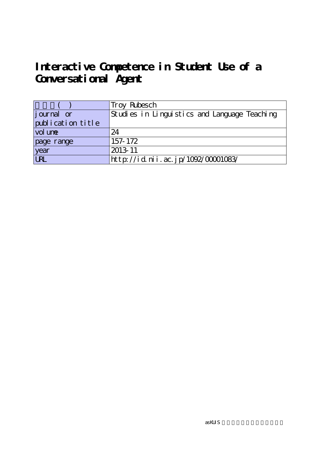# **Interactive Competence in Student Use of a Conversational Agent**

|                    | Troy Rubesch                                 |
|--------------------|----------------------------------------------|
| <i>j</i> ournal or | Studies in Linguistics and Language Teaching |
| publication title  |                                              |
| vol une            | 24                                           |
| page range         | 157-172                                      |
| year               | 2013-11                                      |
| URL                | http://id.nii.ac.jp/1092/00001083/           |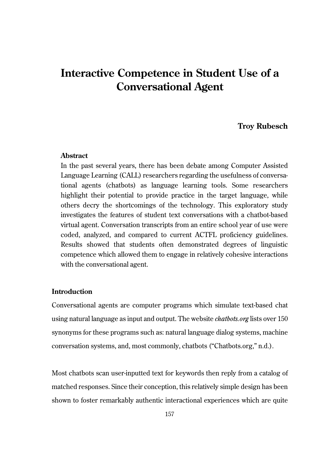# **Interactive Competence in Student Use of a Conversational Agent**

# **Troy Rubesch**

#### **Abstract**

In the past several years, there has been debate among Computer Assisted Language Learning (CALL) researchers regarding the usefulness of conversational agents (chatbots) as language learning tools. Some researchers highlight their potential to provide practice in the target language, while others decry the shortcomings of the technology. This exploratory study investigates the features of student text conversations with a chatbot-based virtual agent. Conversation transcripts from an entire school year of use were coded, analyzed, and compared to current ACTFL proficiency guidelines. Results showed that students often demonstrated degrees of linguistic competence which allowed them to engage in relatively cohesive interactions with the conversational agent.

# **Introduction**

Conversational agents are computer programs which simulate text-based chat using natural language as input and output. The website *chatbots.org* lists over 150 synonyms for these programs such as: natural language dialog systems, machine conversation systems, and, most commonly, chatbots ("Chatbots.org," n.d.).

Most chatbots scan user-inputted text for keywords then reply from a catalog of matched responses. Since their conception, this relatively simple design has been shown to foster remarkably authentic interactional experiences which are quite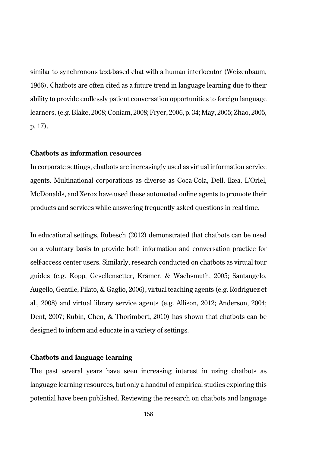similar to synchronous text-based chat with a human interlocutor (Weizenbaum, 1966). Chatbots are often cited as a future trend in language learning due to their ability to provide endlessly patient conversation opportunities to foreign language learners, (e.g. Blake, 2008; Coniam, 2008; Fryer, 2006, p. 34; May, 2005; Zhao, 2005, p. 17).

# **Chatbots as information resources**

In corporate settings, chatbots are increasingly used as virtual information service agents. Multinational corporations as diverse as Coca-Cola, Dell, Ikea, L'Oriel, McDonalds, and Xerox have used these automated online agents to promote their products and services while answering frequently asked questions in real time.

In educational settings, Rubesch (2012) demonstrated that chatbots can be used on a voluntary basis to provide both information and conversation practice for self-access center users. Similarly, research conducted on chatbots as virtual tour guides (e.g. Kopp, Gesellensetter, Krämer, & Wachsmuth, 2005; Santangelo, Augello, Gentile, Pilato, & Gaglio, 2006), virtual teaching agents (e.g. Rodriguez et al., 2008) and virtual library service agents (e.g. Allison, 2012; Anderson, 2004; Dent, 2007; Rubin, Chen, & Thorimbert, 2010) has shown that chatbots can be designed to inform and educate in a variety of settings.

#### **Chatbots and language learning**

The past several years have seen increasing interest in using chatbots as language learning resources, but only a handful of empirical studies exploring this potential have been published. Reviewing the research on chatbots and language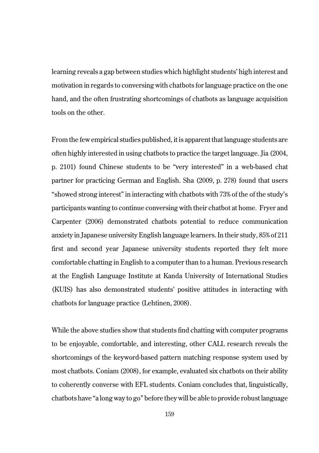learning reveals a gap between studies which highlight students' high interest and motivation in regards to conversing with chatbots for language practice on the one hand, and the often frustrating shortcomings of chatbots as language acquisition tools on the other.

From the few empirical studies published, it is apparent that language students are often highly interested in using chatbots to practice the target language. Jia (2004, p. 2101) found Chinese students to be "very interested" in a web-based chat partner for practicing German and English. Sha (2009, p. 278) found that users "showed strong interest" in interacting with chatbots with 73% of the of the study's participants wanting to continue conversing with their chatbot at home. Fryer and Carpenter (2006) demonstrated chatbots potential to reduce communication anxiety in Japanese university English language learners. In their study, 85% of 211 first and second year Japanese university students reported they felt more comfortable chatting in English to a computer than to a human. Previous research at the English Language Institute at Kanda University of International Studies (KUIS) has also demonstrated students' positive attitudes in interacting with chatbots for language practice (Lehtinen, 2008).

While the above studies show that students find chatting with computer programs to be enjoyable, comfortable, and interesting, other CALL research reveals the shortcomings of the keyword-based pattern matching response system used by most chatbots. Coniam (2008), for example, evaluated six chatbots on their ability to coherently converse with EFL students. Coniam concludes that, linguistically, chatbots have "a long way to go" before they will be able to provide robust language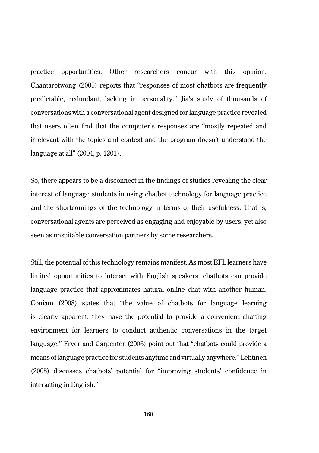practice opportunities. Other researchers concur with this opinion. Chantarotwong (2005) reports that "responses of most chatbots are frequently predictable, redundant, lacking in personality." Jia's study of thousands of conversations with a conversational agent designed for language practice revealed that users often find that the computer's responses are "mostly repeated and irrelevant with the topics and context and the program doesn't understand the language at all" (2004, p. 1201).

So, there appears to be a disconnect in the findings of studies revealing the clear interest of language students in using chatbot technology for language practice and the shortcomings of the technology in terms of their usefulness. That is, conversational agents are perceived as engaging and enjoyable by users, yet also seen as unsuitable conversation partners by some researchers.

Still, the potential of this technology remains manifest. As most EFL learners have limited opportunities to interact with English speakers, chatbots can provide language practice that approximates natural online chat with another human. Coniam (2008) states that "the value of chatbots for language learning is clearly apparent: they have the potential to provide a convenient chatting environment for learners to conduct authentic conversations in the target language." Fryer and Carpenter (2006) point out that "chatbots could provide a means of language practice for students anytime and virtually anywhere." Lehtinen (2008) discusses chatbots' potential for "improving students' confidence in interacting in English."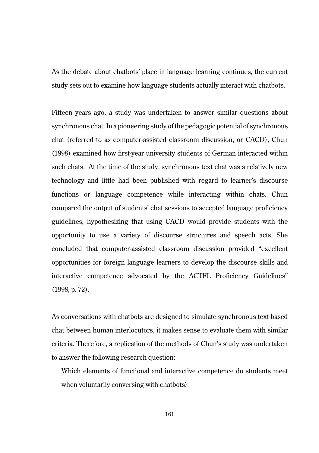As the debate about chatbots' place in language learning continues, the current study sets out to examine how language students actually interact with chatbots.

Fifteen years ago, a study was undertaken to answer similar questions about synchronous chat. In a pioneering study of the pedagogic potential of synchronous chat (referred to as computer-assisted classroom discussion, or CACD), Chun (1998) examined how first-year university students of German interacted within such chats. At the time of the study, synchronous text chat was a relatively new technology and little had been published with regard to learner's discourse functions or language competence while interacting within chats. Chun compared the output of students' chat sessions to accepted language proficiency guidelines, hypothesizing that using CACD would provide students with the opportunity to use a variety of discourse structures and speech acts. She concluded that computer-assisted classroom discussion provided "excellent opportunities for foreign language learners to develop the discourse skills and interactive competence advocated by the ACTFL Proficiency Guidelines" (1998, p. 72).

As conversations with chatbots are designed to simulate synchronous text-based chat between human interlocutors, it makes sense to evaluate them with similar criteria. Therefore, a replication of the methods of Chun's study was undertaken to answer the following research question:

Which elements of functional and interactive competence do students meet when voluntarily conversing with chatbots?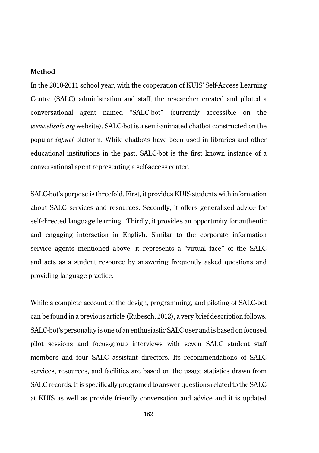### **Method**

In the 2010-2011 school year, with the cooperation of KUIS' Self-Access Learning Centre (SALC) administration and staff, the researcher created and piloted a conversational agent named "SALC-bot" (currently accessible on the *www.elisalc.org* website). SALC-bot is a semi-animated chatbot constructed on the popular *inf.net* platform. While chatbots have been used in libraries and other educational institutions in the past, SALC-bot is the first known instance of a conversational agent representing a self-access center.

SALC-bot's purpose is threefold. First, it provides KUIS students with information about SALC services and resources. Secondly, it offers generalized advice for self-directed language learning. Thirdly, it provides an opportunity for authentic and engaging interaction in English. Similar to the corporate information service agents mentioned above, it represents a "virtual face" of the SALC and acts as a student resource by answering frequently asked questions and providing language practice.

While a complete account of the design, programming, and piloting of SALC-bot can be found in a previous article (Rubesch, 2012), a very brief description follows. SALC-bot's personality is one of an enthusiastic SALC user and is based on focused pilot sessions and focus-group interviews with seven SALC student staff members and four SALC assistant directors. Its recommendations of SALC services, resources, and facilities are based on the usage statistics drawn from SALC records. It is specifically programed to answer questions related to the SALC at KUIS as well as provide friendly conversation and advice and it is updated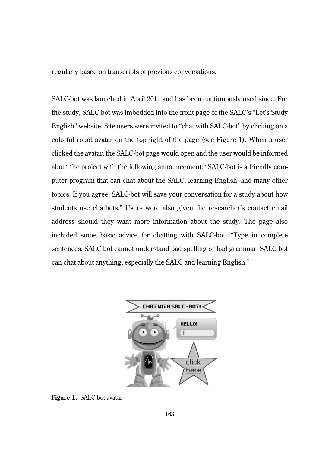regularly based on transcripts of previous conversations.

SALC-bot was launched in April 2011 and has been continuously used since. For the study, SALC-bot was imbedded into the front page of the SALC's "Let's Study English" website. Site users were invited to "chat with SALC-bot" by clicking on a colorful robot avatar on the top-right of the page (see Figure 1). When a user clicked the avatar, the SALC-bot page would open and the user would be informed about the project with the following announcement: "SALC-bot is a friendly computer program that can chat about the SALC, learning English, and many other topics. If you agree, SALC-bot will save your conversation for a study about how students use chatbots." Users were also given the researcher's contact email address should they want more information about the study. The page also included some basic advice for chatting with SALC-bot: "Type in complete sentences; SALC-bot cannot understand bad spelling or bad grammar; SALC-bot can chat about anything, especially the SALC and learning English."



**Figure 1.** SALC-bot avatar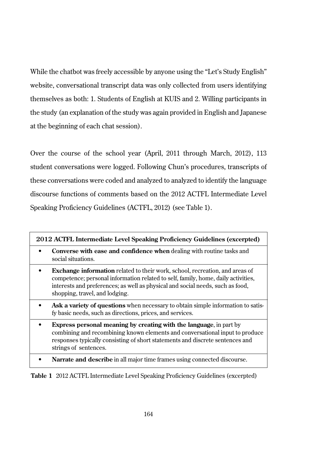While the chatbot was freely accessible by anyone using the "Let's Study English" website, conversational transcript data was only collected from users identifying themselves as both: 1. Students of English at KUIS and 2. Willing participants in the study (an explanation of the study was again provided in English and Japanese at the beginning of each chat session).

Over the course of the school year (April, 2011 through March, 2012), 113 student conversations were logged. Following Chun's procedures, transcripts of these conversations were coded and analyzed to analyzed to identify the language discourse functions of comments based on the 2012 ACTFL Intermediate Level Speaking Proficiency Guidelines (ACTFL, 2012) (see Table 1).

| 2012 ACTFL Intermediate Level Speaking Proficiency Guidelines (excerpted) |                                                                                                                                                                                                                                                                                              |
|---------------------------------------------------------------------------|----------------------------------------------------------------------------------------------------------------------------------------------------------------------------------------------------------------------------------------------------------------------------------------------|
|                                                                           | <b>Converse with ease and confidence when dealing with routine tasks and</b><br>social situations.                                                                                                                                                                                           |
|                                                                           | <b>Exchange information</b> related to their work, school, recreation, and areas of<br>competence; personal information related to self, family, home, daily activities,<br>interests and preferences; as well as physical and social needs, such as food,<br>shopping, travel, and lodging. |
|                                                                           | <b>Ask a variety of questions</b> when necessary to obtain simple information to satis-<br>fy basic needs, such as directions, prices, and services.                                                                                                                                         |
|                                                                           | <b>Express personal meaning by creating with the language</b> , in part by<br>combining and recombining known elements and conversational input to produce<br>responses typically consisting of short statements and discrete sentences and<br>strings of sentences.                         |
|                                                                           | <b>Narrate and describe</b> in all major time frames using connected discourse.                                                                                                                                                                                                              |

**Table 1** 2012 ACTFL Intermediate Level Speaking Proficiency Guidelines (excerpted)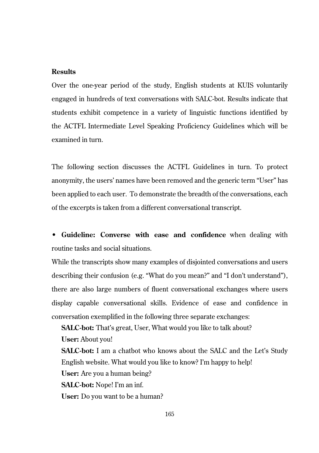# **Results**

Over the one-year period of the study, English students at KUIS voluntarily engaged in hundreds of text conversations with SALC-bot. Results indicate that students exhibit competence in a variety of linguistic functions identified by the ACTFL Intermediate Level Speaking Proficiency Guidelines which will be examined in turn.

The following section discusses the ACTFL Guidelines in turn. To protect anonymity, the users' names have been removed and the generic term "User" has been applied to each user. To demonstrate the breadth of the conversations, each of the excerpts is taken from a different conversational transcript.

• **Guideline: Converse with ease and confidence** when dealing with routine tasks and social situations.

While the transcripts show many examples of disjointed conversations and users describing their confusion (e.g. "What do you mean?" and "I don't understand"), there are also large numbers of fluent conversational exchanges where users display capable conversational skills. Evidence of ease and confidence in conversation exemplified in the following three separate exchanges:

**SALC-bot:** That's great, User, What would you like to talk about? **User:** About you!

**SALC-bot:** I am a chatbot who knows about the SALC and the Let's Study English website. What would you like to know? I'm happy to help!

**User:** Are you a human being?

**SALC-bot:** Nope! I'm an inf.

**User:** Do you want to be a human?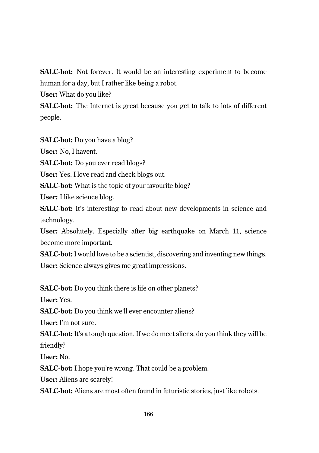**SALC-bot:** Not forever. It would be an interesting experiment to become human for a day, but I rather like being a robot.

**User:** What do you like?

**SALC-bot:** The Internet is great because you get to talk to lots of different people.

**SALC-bot:** Do you have a blog?

**User:** No, I havent.

**SALC-bot:** Do you ever read blogs?

**User:** Yes. I love read and check blogs out.

**SALC-bot:** What is the topic of your favourite blog?

**User:** I like science blog.

**SALC-bot:** It's interesting to read about new developments in science and technology.

**User:** Absolutely. Especially after big earthquake on March 11, science become more important.

**SALC-bot:** I would love to be a scientist, discovering and inventing new things. **User:** Science always gives me great impressions.

**SALC-bot:** Do you think there is life on other planets?

**User:** Yes.

**SALC-bot:** Do you think we'll ever encounter aliens?

**User:** I'm not sure.

**SALC-bot:** It's a tough question. If we do meet aliens, do you think they will be friendly?

**User:** No.

**SALC-bot:** I hope you're wrong. That could be a problem.

**User:** Aliens are scarely!

**SALC-bot:** Aliens are most often found in futuristic stories, just like robots.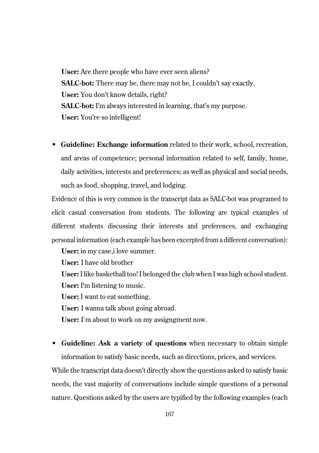**User:** Are there people who have ever seen aliens? **SALC-bot:** There may be, there may not be, I couldn't say exactly. **User:** You don't know details, right? **SALC-bot:** I'm always interested in learning, that's my purpose. **User:** You're so intelligent!

• **Guideline: Exchange information** related to their work, school, recreation, and areas of competence; personal information related to self, family, home, daily activities, interests and preferences; as well as physical and social needs, such as food, shopping, travel, and lodging.

Evidence of this is very common in the transcript data as SALC-bot was programed to elicit casual conversation from students. The following are typical examples of different students discussing their interests and preferences, and exchanging personal information (each example has been excerpted from a different conversation):

**User:** in my case,i love summer.

**User:** I have old brother

**User:** I like basketball too! I belonged the club when I was high school student.

**User:** I'm listening to music.

**User:** I want to eat something.

**User:** I wanna talk about going abroad.

**User:** I`m about to work on my assigngment now.

• **Guideline: Ask a variety of questions** when necessary to obtain simple information to satisfy basic needs, such as directions, prices, and services.

While the transcript data doesn't directly show the questions asked to satisfy basic needs, the vast majority of conversations include simple questions of a personal nature. Questions asked by the users are typified by the following examples (each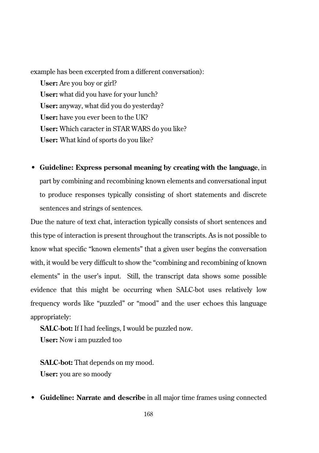example has been excerpted from a different conversation): **User:** Are you boy or girl? **User:** what did you have for your lunch? **User:** anyway, what did you do yesterday? **User:** have you ever been to the UK? **User:** Which caracter in STAR WARS do you like? **User:** What kind of sports do you like?

• **Guideline: Express personal meaning by creating with the language**, in part by combining and recombining known elements and conversational input to produce responses typically consisting of short statements and discrete sentences and strings of sentences.

Due the nature of text chat, interaction typically consists of short sentences and this type of interaction is present throughout the transcripts. As is not possible to know what specific "known elements" that a given user begins the conversation with, it would be very difficult to show the "combining and recombining of known elements" in the user's input. Still, the transcript data shows some possible evidence that this might be occurring when SALC-bot uses relatively low frequency words like "puzzled" or "mood" and the user echoes this language appropriately:

**SALC-bot:** If I had feelings, I would be puzzled now. **User:** Now i am puzzled too

**SALC-bot:** That depends on my mood. **User:** you are so moody

• **Guideline: Narrate and describe** in all major time frames using connected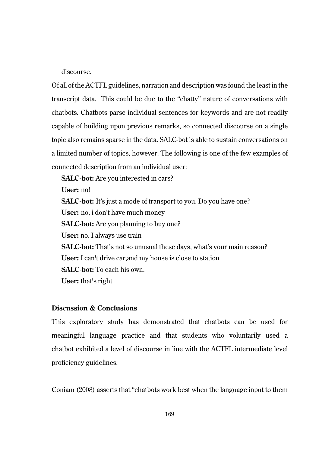discourse.

Of all of the ACTFL guidelines, narration and description was found the least in the transcript data. This could be due to the "chatty" nature of conversations with chatbots. Chatbots parse individual sentences for keywords and are not readily capable of building upon previous remarks, so connected discourse on a single topic also remains sparse in the data. SALC-bot is able to sustain conversations on a limited number of topics, however. The following is one of the few examples of connected description from an individual user:

**SALC-bot:** Are you interested in cars? **User:** no! **SALC-bot:** It's just a mode of transport to you. Do you have one? **User:** no, i don't have much money **SALC-bot:** Are you planning to buy one? **User:** no. I always use train **SALC-bot:** That's not so unusual these days, what's your main reason? **User:** I can't drive car,and my house is close to station **SALC-bot:** To each his own. **User:** that's right

# **Discussion & Conclusions**

This exploratory study has demonstrated that chatbots can be used for meaningful language practice and that students who voluntarily used a chatbot exhibited a level of discourse in line with the ACTFL intermediate level proficiency guidelines.

Coniam (2008) asserts that "chatbots work best when the language input to them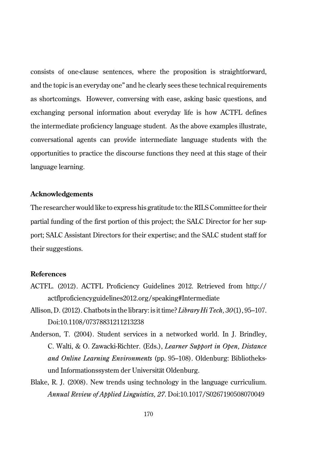consists of one-clause sentences, where the proposition is straightforward, and the topic is an everyday one" and he clearly sees these technical requirements as shortcomings. However, conversing with ease, asking basic questions, and exchanging personal information about everyday life is how ACTFL defines the intermediate proficiency language student. As the above examples illustrate, conversational agents can provide intermediate language students with the opportunities to practice the discourse functions they need at this stage of their language learning.

#### **Acknowledgements**

The researcher would like to express his gratitude to: the RILS Committee for their partial funding of the first portion of this project; the SALC Director for her support; SALC Assistant Directors for their expertise; and the SALC student staff for their suggestions.

#### **References**

- ACTFL. (2012). ACTFL Proficiency Guidelines 2012. Retrieved from http:// actflproficiencyguidelines2012.org/speaking#Intermediate
- Allison, D. (2012). Chatbots in the library: is it time? *Library Hi Tech, 30*(1), 95–107. Doi:10.1108/07378831211213238
- Anderson, T. (2004). Student services in a networked world. In J. Brindley, C. Walti, & O. Zawacki-Richter. (Eds.), *Learner Support in Open, Distance and Online Learning Environments* (pp. 95–108). Oldenburg: Bibliotheksund Informationssystem der Universität Oldenburg.
- Blake, R. J. (2008). New trends using technology in the language curriculium. *Annual Review of Applied Linguistics, 27*. Doi:10.1017/S0267190508070049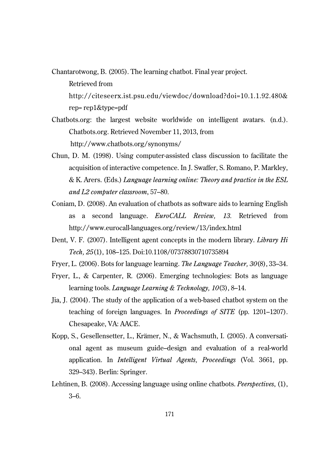Chantarotwong, B. (2005). The learning chatbot. Final year project. Retrieved from http://citeseerx.ist.psu.edu/viewdoc/download?doi=10.1.1.92.480& rep= rep1&type=pdf

- Chatbots.org: the largest website worldwide on intelligent avatars. (n.d.). Chatbots.org. Retrieved November 11, 2013, from http://www.chatbots.org/synonyms/
- Chun, D. M. (1998). Using computer-assisted class discussion to facilitate the acquisition of interactive competence. In J. Swaffer, S. Romano, P. Markley, & K. Arers. (Eds.) *Language learning online: Theory and practice in the ESL and L2 computer classroom*, 57–80.
- Coniam, D. (2008). An evaluation of chatbots as software aids to learning English as a second language. *EuroCALL Review, 13.* Retrieved from http://www.eurocall-languages.org/review/13/index.html
- Dent, V. F. (2007). Intelligent agent concepts in the modern library. *Library Hi Tech, 25*(1), 108–125. Doi:10.1108/07378830710735894
- Fryer, L. (2006). Bots for language learning. *The Language Teacher, 30*(8), 33–34.
- Fryer, L., & Carpenter, R. (2006). Emerging technologies: Bots as language learning tools. *Language Learning & Technology, 10*(3), 8–14.
- Jia, J. (2004). The study of the application of a web-based chatbot system on the teaching of foreign languages. In *Proceedings of SITE* (pp. 1201–1207). Chesapeake, VA: AACE.
- Kopp, S., Gesellensetter, L., Krämer, N., & Wachsmuth, I. (2005). A conversational agent as museum guide–design and evaluation of a real-world application. In *Intelligent Virtual Agents, Proceedings* (Vol. 3661, pp. 329–343). Berlin: Springer.
- Lehtinen, B. (2008). Accessing language using online chatbots. *Peerspectives*, (1), 3–6.